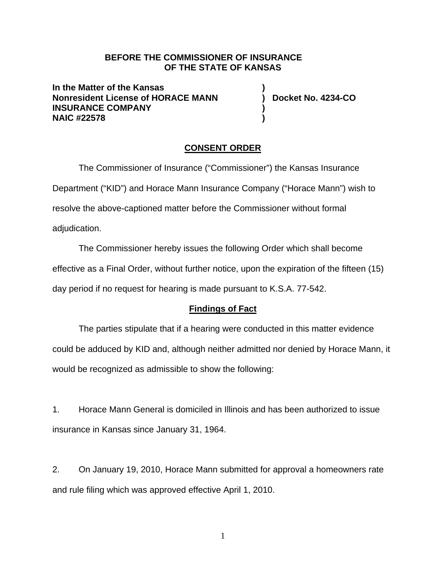### **BEFORE THE COMMISSIONER OF INSURANCE OF THE STATE OF KANSAS**

**In the Matter of the Kansas ) Nonresident License of HORACE MANN ) Docket No. 4234-CO INSURANCE COMPANY ) NAIC #22578 )** 

# **CONSENT ORDER**

The Commissioner of Insurance ("Commissioner") the Kansas Insurance Department ("KID") and Horace Mann Insurance Company ("Horace Mann") wish to resolve the above-captioned matter before the Commissioner without formal adjudication.

The Commissioner hereby issues the following Order which shall become effective as a Final Order, without further notice, upon the expiration of the fifteen (15) day period if no request for hearing is made pursuant to K.S.A. 77-542.

## **Findings of Fact**

The parties stipulate that if a hearing were conducted in this matter evidence could be adduced by KID and, although neither admitted nor denied by Horace Mann, it would be recognized as admissible to show the following:

1. Horace Mann General is domiciled in Illinois and has been authorized to issue insurance in Kansas since January 31, 1964.

2. On January 19, 2010, Horace Mann submitted for approval a homeowners rate and rule filing which was approved effective April 1, 2010.

1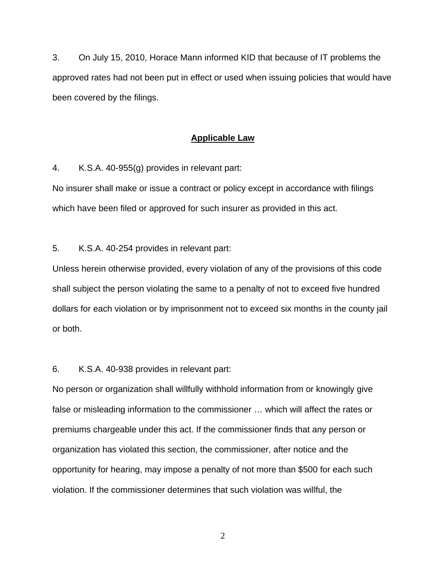3. On July 15, 2010, Horace Mann informed KID that because of IT problems the approved rates had not been put in effect or used when issuing policies that would have been covered by the filings.

#### **Applicable Law**

4. K.S.A. 40-955(g) provides in relevant part:

No insurer shall make or issue a contract or policy except in accordance with filings which have been filed or approved for such insurer as provided in this act.

5. K.S.A. 40-254 provides in relevant part:

Unless herein otherwise provided, every violation of any of the provisions of this code shall subject the person violating the same to a penalty of not to exceed five hundred dollars for each violation or by imprisonment not to exceed six months in the county jail or both.

#### 6. K.S.A. 40-938 provides in relevant part:

No person or organization shall willfully withhold information from or knowingly give false or misleading information to the commissioner … which will affect the rates or premiums chargeable under this act. If the commissioner finds that any person or organization has violated this section, the commissioner, after notice and the opportunity for hearing, may impose a penalty of not more than \$500 for each such violation. If the commissioner determines that such violation was willful, the

2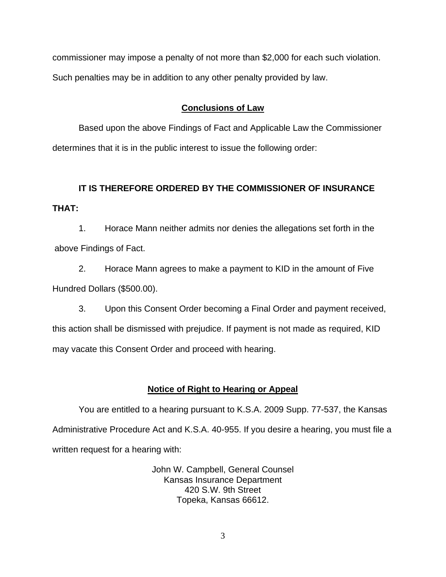commissioner may impose a penalty of not more than \$2,000 for each such violation. Such penalties may be in addition to any other penalty provided by law.

# **Conclusions of Law**

Based upon the above Findings of Fact and Applicable Law the Commissioner determines that it is in the public interest to issue the following order:

# **IT IS THEREFORE ORDERED BY THE COMMISSIONER OF INSURANCE THAT:**

1. Horace Mann neither admits nor denies the allegations set forth in the above Findings of Fact.

2. Horace Mann agrees to make a payment to KID in the amount of Five Hundred Dollars (\$500.00).

3. Upon this Consent Order becoming a Final Order and payment received, this action shall be dismissed with prejudice. If payment is not made as required, KID may vacate this Consent Order and proceed with hearing.

# **Notice of Right to Hearing or Appeal**

You are entitled to a hearing pursuant to K.S.A. 2009 Supp. 77-537, the Kansas Administrative Procedure Act and K.S.A. 40-955. If you desire a hearing, you must file a written request for a hearing with:

> John W. Campbell, General Counsel Kansas Insurance Department 420 S.W. 9th Street Topeka, Kansas 66612.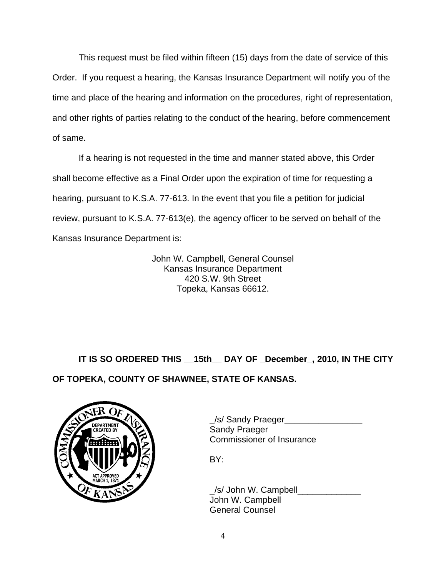This request must be filed within fifteen (15) days from the date of service of this Order. If you request a hearing, the Kansas Insurance Department will notify you of the time and place of the hearing and information on the procedures, right of representation, and other rights of parties relating to the conduct of the hearing, before commencement of same.

If a hearing is not requested in the time and manner stated above, this Order shall become effective as a Final Order upon the expiration of time for requesting a hearing, pursuant to K.S.A. 77-613. In the event that you file a petition for judicial review, pursuant to K.S.A. 77-613(e), the agency officer to be served on behalf of the Kansas Insurance Department is:

> John W. Campbell, General Counsel Kansas Insurance Department 420 S.W. 9th Street Topeka, Kansas 66612.

**IT IS SO ORDERED THIS \_\_15th\_\_ DAY OF \_December\_, 2010, IN THE CITY** 

**OF TOPEKA, COUNTY OF SHAWNEE, STATE OF KANSAS.** 



\_/s/ Sandy Praeger\_\_\_\_\_\_\_\_\_\_\_\_\_\_\_\_ Commissioner of Insurance

 \_/s/ John W. Campbell\_\_\_\_\_\_\_\_\_\_\_\_\_ John W. Campbell General Counsel

4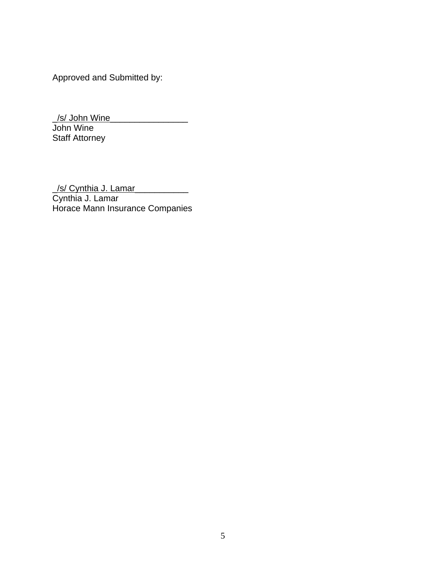Approved and Submitted by:

\_/s/ John Wine\_\_\_\_\_\_\_\_\_\_\_\_\_\_\_\_

John Wine Staff Attorney

\_/s/ Cynthia J. Lamar\_\_\_\_\_\_\_\_\_\_\_ Cynthia J. Lamar Horace Mann Insurance Companies